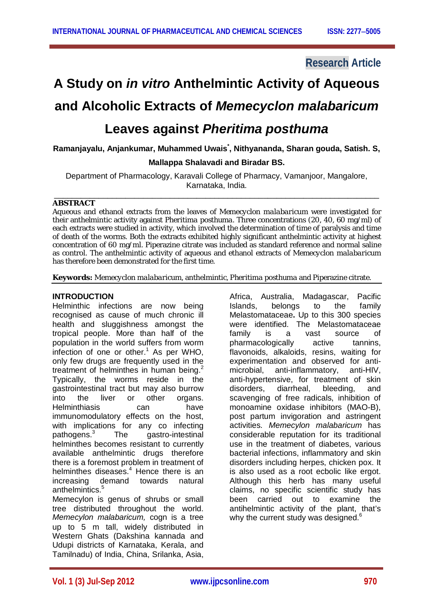### **Research Article**

# **A Study on** *in vitro* **Anthelmintic Activity of Aqueous**

## **and Alcoholic Extracts of** *Memecyclon malabaricum*

## **Leaves against** *Pheritima posthuma*

**Ramanjayalu, Anjankumar, Muhammed Uwais\* , Nithyananda, Sharan gouda, Satish. S,** 

#### **Mallappa Shalavadi and Biradar BS.**

Department of Pharmacology, Karavali College of Pharmacy, Vamanjoor, Mangalore, Karnataka, India.

#### \_\_\_\_\_\_\_\_\_\_\_\_\_\_\_\_\_\_\_\_\_\_\_\_\_\_\_\_\_\_\_\_\_\_\_\_\_\_\_\_\_\_\_\_\_\_\_\_\_\_\_\_\_\_\_\_\_\_\_\_\_\_\_\_\_\_\_\_\_\_\_\_\_ **ABSTRACT**

Aqueous and ethanol extracts from the leaves of *Memecyclon malabaricum* were investigated for their anthelmintic activity against *Pheritima posthuma*. Three concentrations (20, 40, 60 mg/ml) of each extracts were studied in activity, which involved the determination of time of paralysis and time of death of the worms. Both the extracts exhibited highly significant anthelmintic activity at highest concentration of 60 mg/ml. Piperazine citrate was included as standard reference and normal saline as control. The anthelmintic activity of aqueous and ethanol extracts of *Memecyclon malabaricum*  has therefore been demonstrated for the first time.

**Keywords:** *Memecyclon malabaricum*, anthelmintic, *Pheritima posthuma* and Piperazine citrate.

#### **INTRODUCTION**

Helminthic infections are now being recognised as cause of much chronic ill health and sluggishness amongst the tropical people. More than half of the population in the world suffers from worm infection of one or other. $1$  As per WHO, only few drugs are frequently used in the treatment of helminthes in human being. $2$ Typically, the worms reside in the gastrointestinal tract but may also burrow into the liver or other organs. Helminthiasis can have immunomodulatory effects on the host, with implications for any co infecting pathogens.<sup>3</sup> The gastro-intestinal helminthes becomes resistant to currently available anthelmintic drugs therefore there is a foremost problem in treatment of helminthes diseases.<sup>4</sup> Hence there is an increasing demand towards natural anthelmintics.<sup>5</sup>

Memecylon is genus of shrubs or small tree distributed throughout the world. *Memecylon malabaricum,* cogn is a tree up to 5 m tall, widely distributed in Western Ghats (Dakshina kannada and Udupi districts of Karnataka, Kerala, and Tamilnadu) of India, China, Srilanka, Asia,

Africa, Australia, Madagascar, Pacific Islands, belongs to the family Melastomataceae**.** Up to this 300 species were identified. The Melastomataceae family is a vast source of pharmacologically active tannins, flavonoids, alkaloids, resins, waiting for experimentation and observed for antimicrobial, anti-inflammatory, anti-HIV, anti-hypertensive, for treatment of skin disorders, diarrheal, bleeding, and scavenging of free radicals, inhibition of monoamine oxidase inhibitors (MAO-B), post partum invigoration and astringent activities. *Memecylon malabaricum* has considerable reputation for its traditional use in the treatment of diabetes, various bacterial infections, inflammatory and skin disorders including herpes, chicken pox. It is also used as a root ecbolic like ergot. Although this herb has many useful claims, no specific scientific study has been carried out to examine the antihelmintic activity of the plant, that's why the current study was designed.<sup>6</sup>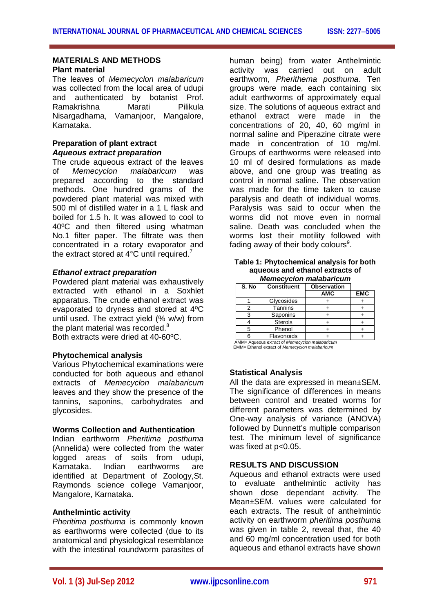#### **MATERIALS AND METHODS Plant material**

The leaves of *Memecyclon malabaricum* was collected from the local area of udupi and authenticated by botanist Prof. Ramakrishna Marati Pilikula Nisargadhama, Vamanjoor, Mangalore, Karnataka.

#### **Preparation of plant extract** *Aqueous extract preparation*

The crude aqueous extract of the leaves of *Memecyclon malabaricum* was prepared according to the standard methods. One hundred grams of the powdered plant material was mixed with 500 ml of distilled water in a 1 L flask and boiled for 1.5 h. It was allowed to cool to 40ºC and then filtered using whatman No.1 filter paper. The filtrate was then concentrated in a rotary evaporator and the extract stored at  $4^{\circ}$ C until required.<sup>7</sup>

#### *Ethanol extract preparation*

Powdered plant material was exhaustively extracted with ethanol in a Soxhlet apparatus. The crude ethanol extract was evaporated to dryness and stored at 4ºC until used. The extract yield (% w/w) from the plant material was recorded. $8$ Both extracts were dried at 40-60ºC.

#### **Phytochemical analysis**

Various Phytochemical examinations were conducted for both aqueous and ethanol extracts of *Memecyclon malabaricum*  leaves and they show the presence of the tannins, saponins, carbohydrates and glycosides.

#### **Worms Collection and Authentication**

Indian earthworm *Pheritima posthuma*  (Annelida) were collected from the water logged areas of soils from udupi, Karnataka. Indian earthworms are identified at Department of Zoology,St. Raymonds science college Vamanjoor, Mangalore, Karnataka.

#### **Anthelmintic activity**

*Pheritima posthuma* is commonly known as earthworms were collected (due to its anatomical and physiological resemblance with the intestinal roundworm parasites of

human being) from water Anthelmintic activity was carried out on adult earthworm, *Pherithema posthuma*. Ten groups were made, each containing six adult earthworms of approximately equal size. The solutions of aqueous extract and ethanol extract were made in the concentrations of 20, 40, 60 mg/ml in normal saline and Piperazine citrate were made in concentration of 10 mg/ml. Groups of earthworms were released into 10 ml of desired formulations as made above, and one group was treating as control in normal saline. The observation was made for the time taken to cause paralysis and death of individual worms. Paralysis was said to occur when the worms did not move even in normal saline. Death was concluded when the worms lost their motility followed with fading away of their body colours<sup>9</sup>.

#### **Table 1: Phytochemical analysis for both aqueous and ethanol extracts of**  *Memecyclon malabaricum*

| S. No | <b>Constituent</b> | Observation |            |  |  |
|-------|--------------------|-------------|------------|--|--|
|       |                    | <b>AMC</b>  | <b>EMC</b> |  |  |
|       | Glycosides         |             |            |  |  |
|       | Tannins            |             |            |  |  |
|       | Saponins           |             |            |  |  |
|       | <b>Sterols</b>     |             |            |  |  |
| 5     | Phenol             |             |            |  |  |
|       | Flavonoids         |             |            |  |  |
| .     | .                  |             |            |  |  |

Aqueous extract of *Memecyclon malabaricum* EMM= Ethanol extract of *Memecyclon malabaricum*

#### **Statistical Analysis**

All the data are expressed in mean±SEM. The significance of differences in means between control and treated worms for different parameters was determined by One-way analysis of variance (ANOVA) followed by Dunnett's multiple comparison test. The minimum level of significance was fixed at p<0.05.

#### **RESULTS AND DISCUSSION**

Aqueous and ethanol extracts were used to evaluate anthelmintic activity has shown dose dependant activity. The Mean±SEM. values were calculated for each extracts. The result of anthelmintic activity on earthworm *pheritima posthuma* was given in table 2, reveal that, the 40 and 60 mg/ml concentration used for both aqueous and ethanol extracts have shown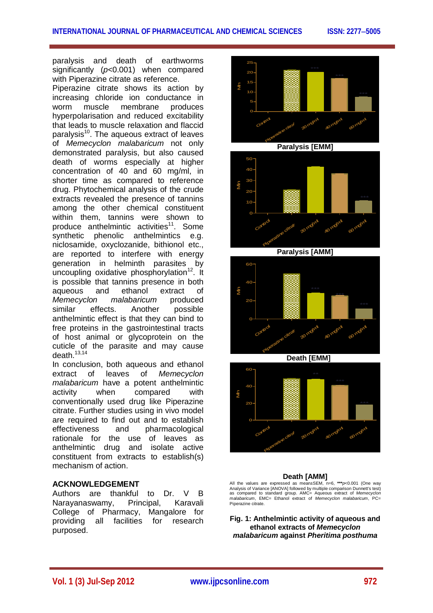paralysis and death of earthworms significantly (*p*<0.001) when compared with Piperazine citrate as reference.

Piperazine citrate shows its action by increasing chloride ion conductance in worm muscle membrane produces hyperpolarisation and reduced excitability that leads to muscle relaxation and flaccid paralysis<sup>10</sup>. The aqueous extract of leaves of *Memecyclon malabaricum* not only demonstrated paralysis, but also caused death of worms especially at higher concentration of 40 and 60 mg/ml, in shorter time as compared to reference drug. Phytochemical analysis of the crude extracts revealed the presence of tannins among the other chemical constituent within them, tannins were shown to produce anthelmintic activities<sup>11</sup>. Some synthetic phenolic anthelmintics e.g. niclosamide, oxyclozanide, bithionol etc., are reported to interfere with energy generation in helminth parasites by uncoupling oxidative phosphorylation<sup>12</sup>. It is possible that tannins presence in both aqueous and ethanol extract of *Memecyclon malabaricum* produced similar effects. Another possible anthelmintic effect is that they can bind to free proteins in the gastrointestinal tracts of host animal or glycoprotein on the cuticle of the parasite and may cause death $13,14$ 

In conclusion, both aqueous and ethanol extract of leaves of *Memecyclon malabaricum* have a potent anthelmintic activity when compared with conventionally used drug like Piperazine citrate. Further studies using in vivo model are required to find out and to establish effectiveness and pharmacological rationale for the use of leaves as anthelmintic drug and isolate active constituent from extracts to establish(s) mechanism of action.

#### **ACKNOWLEDGEMENT**

Authors are thankful to Dr. V B Narayanaswamy, Principal, Karavali College of Pharmacy, Mangalore for providing all facilities for research purposed.



#### **Death [AMM]**

All the values are expressed as mean±SEM, n=6, **\*\*\****p*<0.001 (One way Analysis of Variance [ANOVA] followed by multiple comparison Dunnett's test) as compared to standard group. AMC= Aqueous extract of *Memecyclon malabaricum*, EMC= Ethanol extract of *Memecyclon malabaricum*, PC= Piperazine citrate.

**Fig. 1: Anthelmintic activity of aqueous and ethanol extracts of** *Memecyclon malabaricum* **against** *Pheritima posthuma*